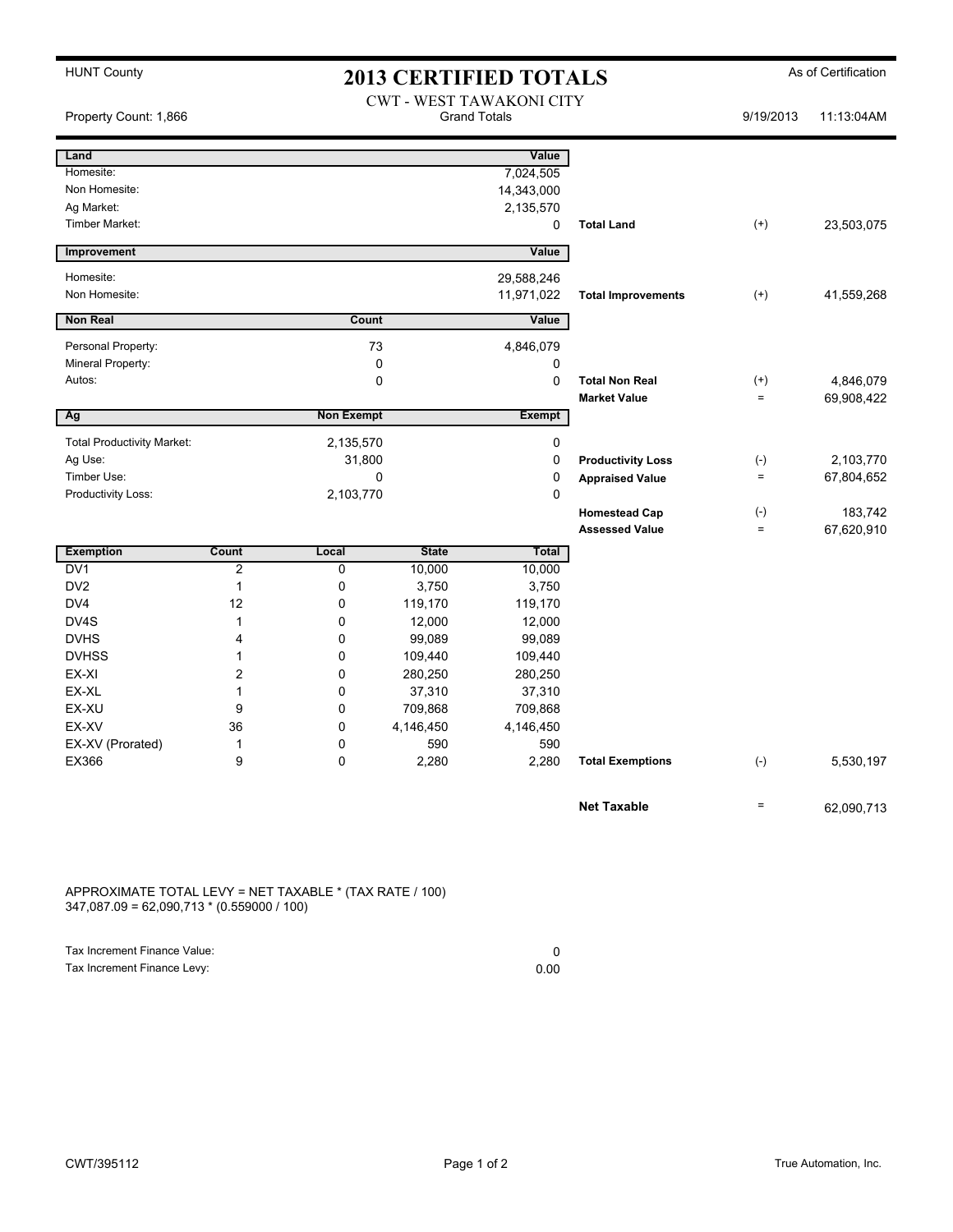## HUNT County **As of Certification 2013 CERTIFIED TOTALS** As of Certification

| <b>CWT - WEST TAWAKONI CITY</b><br><b>Grand Totals</b><br>Property Count: 1,866 |                |                   |                  |                  |                           | 9/19/2013         | 11:13:04AM |
|---------------------------------------------------------------------------------|----------------|-------------------|------------------|------------------|---------------------------|-------------------|------------|
| Land                                                                            |                |                   |                  | Value            |                           |                   |            |
| Homesite:                                                                       |                |                   |                  | 7,024,505        |                           |                   |            |
| Non Homesite:                                                                   |                |                   |                  | 14,343,000       |                           |                   |            |
| Ag Market:                                                                      |                |                   |                  | 2,135,570        |                           |                   |            |
| <b>Timber Market:</b>                                                           |                |                   |                  | 0                | <b>Total Land</b>         | $(+)$             | 23,503,075 |
| Improvement                                                                     |                |                   |                  | Value            |                           |                   |            |
| Homesite:                                                                       |                |                   |                  | 29,588,246       |                           |                   |            |
| Non Homesite:                                                                   |                |                   |                  | 11,971,022       | <b>Total Improvements</b> | $^{(+)}$          | 41,559,268 |
| <b>Non Real</b>                                                                 |                | Count             |                  | Value            |                           |                   |            |
| Personal Property:                                                              |                |                   | 73               | 4,846,079        |                           |                   |            |
| Mineral Property:                                                               |                |                   | $\mathbf 0$      | 0                |                           |                   |            |
| Autos:                                                                          |                |                   | $\mathbf 0$      | 0                | <b>Total Non Real</b>     | $^{(+)}$          | 4,846,079  |
|                                                                                 |                |                   |                  |                  | <b>Market Value</b>       | $\qquad \qquad =$ | 69,908,422 |
| Ag                                                                              |                | <b>Non Exempt</b> |                  | <b>Exempt</b>    |                           |                   |            |
| <b>Total Productivity Market:</b>                                               |                | 2,135,570         |                  | 0                |                           |                   |            |
| Ag Use:                                                                         |                | 31,800            |                  | 0                | <b>Productivity Loss</b>  | $(-)$             | 2,103,770  |
| Timber Use:                                                                     |                |                   | 0                |                  | <b>Appraised Value</b>    | $\qquad \qquad =$ | 67,804,652 |
| Productivity Loss:                                                              |                | 2,103,770         |                  | 0                |                           |                   |            |
|                                                                                 |                |                   |                  |                  | <b>Homestead Cap</b>      | $(-)$             | 183,742    |
|                                                                                 |                |                   |                  |                  | <b>Assessed Value</b>     | $=$               | 67,620,910 |
| <b>Exemption</b>                                                                | Count          | Local             | <b>State</b>     | Total            |                           |                   |            |
| DV <sub>1</sub>                                                                 | $\overline{c}$ | 0                 | 10,000           | 10,000           |                           |                   |            |
| DV <sub>2</sub>                                                                 | $\mathbf{1}$   | 0                 | 3,750            | 3,750            |                           |                   |            |
| DV <sub>4</sub>                                                                 | 12             | 0                 | 119,170          | 119,170          |                           |                   |            |
| DV4S<br><b>DVHS</b>                                                             | 1<br>4         | 0<br>0            | 12,000<br>99,089 | 12,000<br>99,089 |                           |                   |            |
| <b>DVHSS</b>                                                                    | 1              | 0                 | 109,440          | 109,440          |                           |                   |            |
| EX-XI                                                                           | $\overline{c}$ | 0                 | 280,250          | 280,250          |                           |                   |            |
| EX-XL                                                                           | 1              | 0                 | 37,310           | 37,310           |                           |                   |            |
| EX-XU                                                                           | 9              | 0                 | 709,868          | 709,868          |                           |                   |            |
| EX-XV                                                                           | 36             | 0                 | 4,146,450        | 4,146,450        |                           |                   |            |
| EX-XV (Prorated)                                                                | 1              | 0                 | 590              | 590              |                           |                   |            |
| EX366                                                                           | 9              | 0                 | 2,280            | 2,280            | <b>Total Exemptions</b>   | $(-)$             | 5,530,197  |
|                                                                                 |                |                   |                  |                  |                           |                   |            |
|                                                                                 |                |                   |                  |                  | <b>Net Taxable</b>        | $\qquad \qquad =$ | 62,090,713 |
|                                                                                 |                |                   |                  |                  |                           |                   |            |

APPROXIMATE TOTAL LEVY = NET TAXABLE \* (TAX RATE / 100) 347,087.09 = 62,090,713 \* (0.559000 / 100)

| Tax Increment Finance Value: |      |
|------------------------------|------|
| Tax Increment Finance Levy:  | 0.00 |